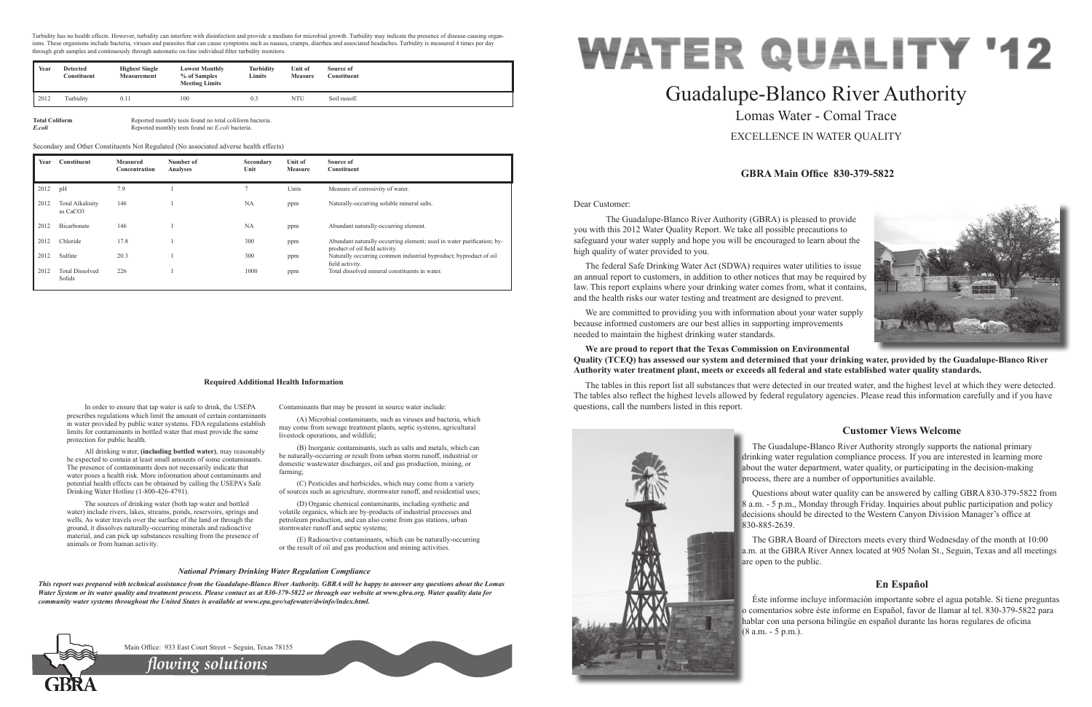Dear Customer:

 The Guadalupe-Blanco River Authority (GBRA) is pleased to provide you with this 2012 Water Quality Report. We take all possible precautions to safeguard your water supply and hope you will be encouraged to learn about the high quality of water provided to you.

The federal Safe Drinking Water Act (SDWA) requires water utilities to issue an annual report to customers, in addition to other notices that may be required by law. This report explains where your drinking water comes from, what it contains, and the health risks our water testing and treatment are designed to prevent.

We are committed to providing you with information about your water supply because informed customers are our best allies in supporting improvements needed to maintain the highest drinking water standards.

### **We are proud to report that the Texas Commission on Environmental Quality (TCEQ) has assessed our system and determined that your drinking water, provided by the Guadalupe-Blanco River Authority water treatment plant, meets or exceeds all federal and state established water quality standards.**

The tables in this report list all substances that were detected in our treated water, and the highest level at which they were detected. The tables also reflect the highest levels allowed by federal regulatory agencies. Please read this information carefully and if you have questions, call the numbers listed in this report.



# Guadalupe-Blanco River Authority Lomas Water - Comal Trace EXCELLENCE IN WATER QUALITY

# **GBRA Main Office 830-379-5822**

# **Customer Views Welcome**

The Guadalupe-Blanco River Authority strongly supports the national primary drinking water regulation compliance process. If you are interested in learning more about the water department, water quality, or participating in the decision-making process, there are a number of opportunities available.

Questions about water quality can be answered by calling GBRA 830-379-5822 from 8 a.m. - 5 p.m., Monday through Friday. Inquiries about public participation and policy decisions should be directed to the Western Canyon Division Manager's office at 830-885-2639.

(D) Organic chemical contaminants, including synthetic and volatile organics, which are by-products of industrial processes and petroleum production, and can also come from gas stations, urban stormwater runoff and septic systems;

> The GBRA Board of Directors meets every third Wednesday of the month at 10:00 a.m. at the GBRA River Annex located at 905 Nolan St., Seguin, Texas and all meetings are open to the public.

# **En Español**

Éste informe incluye información importante sobre el agua potable. Si tiene preguntas o comentarios sobre éste informe en Español, favor de llamar al tel. 830-379-5822 para hablar con una persona bilingüe en español durante las horas regulares de oficina (8 a.m. - 5 p.m.).



**Total Coliform** Reported monthly tests found no total coliform bacteria.<br> **Example 18. Reported monthly tests found no Example 20.** Reported monthly tests found no Example 20. *E.coli* Reported monthly tests found no *E.coli* bacteria.

> In order to ensure that tap water is safe to drink, the USEPA prescribes regulations which limit the amount of certain contaminants in water provided by public water systems. FDA regulations establish limits for contaminants in bottled water that must provide the same

protection for public health.

All drinking water, **(including bottled water)**, may reasonably be expected to contain at least small amounts of some contaminants. The presence of contaminants does not necessarily indicate that water poses a health risk. More information about contaminants and potential health effects can be obtained by calling the USEPA's Safe

Turbidity has no health effects. However, turbidity can interfere with disinfection and provide a medium for microbial growth. Turbidity may indicate the presence of disease-causing organisms. These organisms include bacteria, viruses and parasites that can cause symptoms such as nausea, cramps, diarrhea and associated headaches. Turbidity is measured 4 times per day through grab samples and continuously through automatic on-line individual filter turbidity monitors.

Drinking Water Hotline (1-800-426-4791).

The sources of drinking water (both tap water and bottled water) include rivers, lakes, streams, ponds, reservoirs, springs and wells. As water travels over the surface of the land or through the ground, it dissolves naturally-occurring minerals and radioactive material, and can pick up substances resulting from the presence of

animals or from human activity.

Contaminants that may be present in source water include:

(A) Microbial contaminants, such as viruses and bacteria, which may come from sewage treatment plants, septic systems, agricultural livestock operations, and wildlife;

(B) Inorganic contaminants, such as salts and metals, which can be naturally-occurring or result from urban storm runoff, industrial or domestic wastewater discharges, oil and gas production, mining, or farming;

(C) Pesticides and herbicides, which may come from a variety of sources such as agriculture, stormwater runoff, and residential uses;

(E) Radioactive contaminants, which can be naturally-occurring or the result of oil and gas production and mining activities.

#### **Required Additional Health Information**

#### *National Primary Drinking Water Regulation Compliance*

*This report was prepared with technical assistance from the Guadalupe-Blanco River Authority. GBRA will be happy to answer any questions about the Lomas Water System or its water quality and treatment process. Please contact us at 830-379-5822 or through our website at www.gbra.org. Water quality data for community water systems throughout the United States is available at www.epa.gov/safewater/dwinfo/index.html.*



Main Office: 933 East Court Street ~ Seguin, Texas 78155

| Year | Constituent                         | <b>Measured</b><br>Concentration | Number of<br>Analyses | Secondary<br>Unit | Unit of<br><b>Measure</b> | Source of<br>Constituent                                                                                |
|------|-------------------------------------|----------------------------------|-----------------------|-------------------|---------------------------|---------------------------------------------------------------------------------------------------------|
| 2012 | pH                                  | 7.9                              |                       |                   | Units                     | Measure of corrosivity of water.                                                                        |
| 2012 | <b>Total Alkalinity</b><br>as CaCO3 | 146                              |                       | <b>NA</b>         | ppm                       | Naturally-occurring soluble mineral salts.                                                              |
| 2012 | Bicarbonate                         | 146                              |                       | <b>NA</b>         | ppm                       | Abundant naturally-occurring element.                                                                   |
| 2012 | Chloride                            | 17.8                             |                       | 300               | ppm                       | Abundant naturally-occurring element; used in water purification; by-<br>product of oil field activity. |
| 2012 | Sulfate                             | 20.3                             |                       | 300               | ppm                       | Naturally occurring common industrial byproduct; byproduct of oil<br>field activity.                    |
| 2012 | <b>Total Dissolved</b><br>Solids    | 226                              |                       | 1000              | ppm                       | Total dissolved mineral constituents in water.                                                          |

Secondary and Other Constituents Not Regulated (No associated adverse health effects)

*flowing solutions*

| Year | <b>Detected</b><br>Constituent | <b>Highest Single</b><br><b>Measurement</b> | <b>Lowest Monthly</b><br>% of Samples<br><b>Meeting Limits</b> | <b>Turbidity</b><br>Limits | Unit of<br><b>Measure</b> | Source of<br>Constituent |
|------|--------------------------------|---------------------------------------------|----------------------------------------------------------------|----------------------------|---------------------------|--------------------------|
| 2012 | Turbidity                      | 0.11                                        | 100                                                            | 0.3                        | NTU                       | Soil runoff.             |